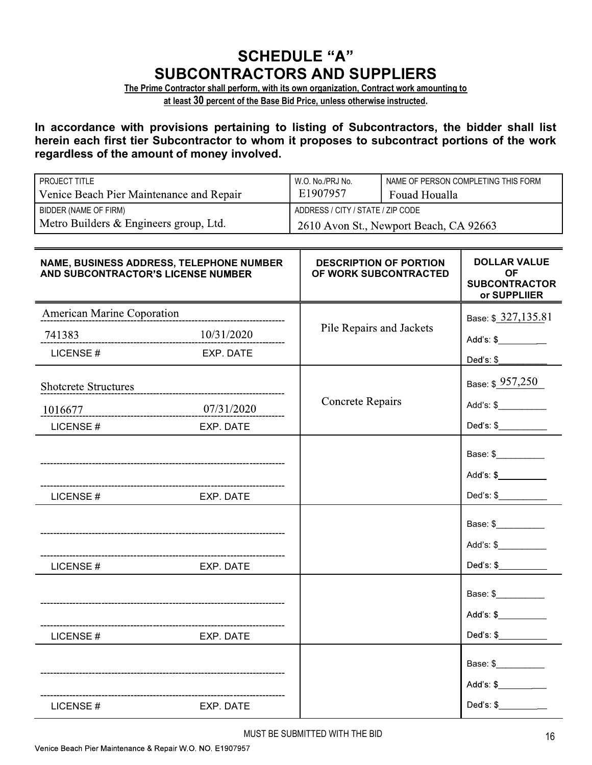## **SCHEDULE "A"** SUBCONTRACTORS AND SUPPLIERS

The Prime Contractor shall perform, with its own organization, Contract work amounting to

at least 30 percent of the Base Bid Price, unless otherwise instructed.

In accordance with provisions pertaining to listing of Subcontractors, the bidder shall list herein each first tier Subcontractor to whom it proposes to subcontract portions of the work regardless of the amount of money involved.

| <b>PROJECT TITLE</b>                     | W.O. No./PRJ No.                       | NAME OF PERSON COMPLETING THIS FORM |  |
|------------------------------------------|----------------------------------------|-------------------------------------|--|
| Venice Beach Pier Maintenance and Repair | E1907957                               | Fouad Houalla                       |  |
| BIDDER (NAME OF FIRM)                    | ADDRESS / CITY / STATE / ZIP CODE      |                                     |  |
| Metro Builders & Engineers group, Ltd.   | 2610 Avon St., Newport Beach, CA 92663 |                                     |  |

| NAME, BUSINESS ADDRESS, TELEPHONE NUMBER<br>AND SUBCONTRACTOR'S LICENSE NUMBER |           | <b>DESCRIPTION OF PORTION</b> | <b>DOLLAR VALUE</b><br>ΟF            |
|--------------------------------------------------------------------------------|-----------|-------------------------------|--------------------------------------|
|                                                                                |           | OF WORK SUBCONTRACTED         | <b>SUBCONTRACTOR</b><br>or SUPPLIIER |
| <b>American Marine Coporation</b>                                              |           |                               | Base: \$ 327,135.81                  |
| 741383                                                                         |           | Pile Repairs and Jackets      | Add's: \$_________                   |
| LICENSE#                                                                       | EXP. DATE |                               | Ded's: \$                            |
| Shotcrete Structures                                                           |           |                               | Base: \$ 957,250                     |
|                                                                                |           | <b>Concrete Repairs</b>       | Add's: \$                            |
| LICENSE#                                                                       | EXP. DATE |                               | Ded's: $\frac{1}{2}$                 |
|                                                                                |           |                               | Base: \$<br>Add's: \$                |
| __________________________________<br>LICENSE#                                 | EXP. DATE |                               | Ded's: $\frac{1}{2}$                 |
| LICENSE#                                                                       | EXP. DATE |                               | Base: \$<br>Add's: $$$               |
|                                                                                |           |                               | Base: \$                             |
| LICENSE#                                                                       | EXP. DATE |                               | Ded's: $\frac{1}{2}$                 |
|                                                                                |           |                               | Base: \$                             |
|                                                                                |           |                               | Add's: \$________                    |
| LICENSE#                                                                       | EXP. DATE |                               | Ded's: \$                            |

MUST BE SUBMITTED WITH THE BID 16